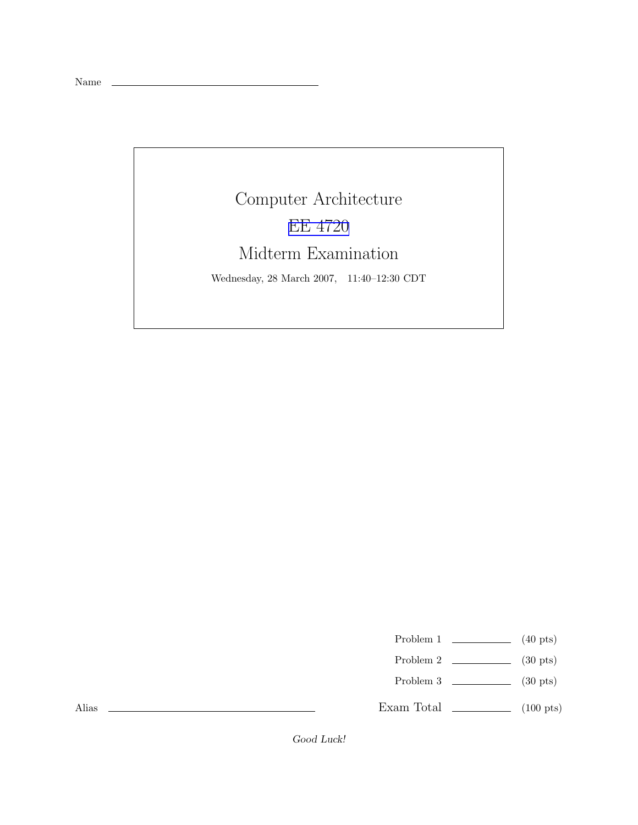Name

## Computer Architecture EE [4720](http://www.ece.lsu.edu/ee4720/) Midterm Examination

Wednesday, 28 March 2007, 11:40–12:30 CDT

Problem 1  $\qquad \qquad$  (40 pts)

- Problem 2  $\qquad \qquad$  (30 pts)
- Problem 3  $\qquad \qquad$  (30 pts)

Exam Total  $\qquad \qquad$  (100 pts)

Alias

Good Luck!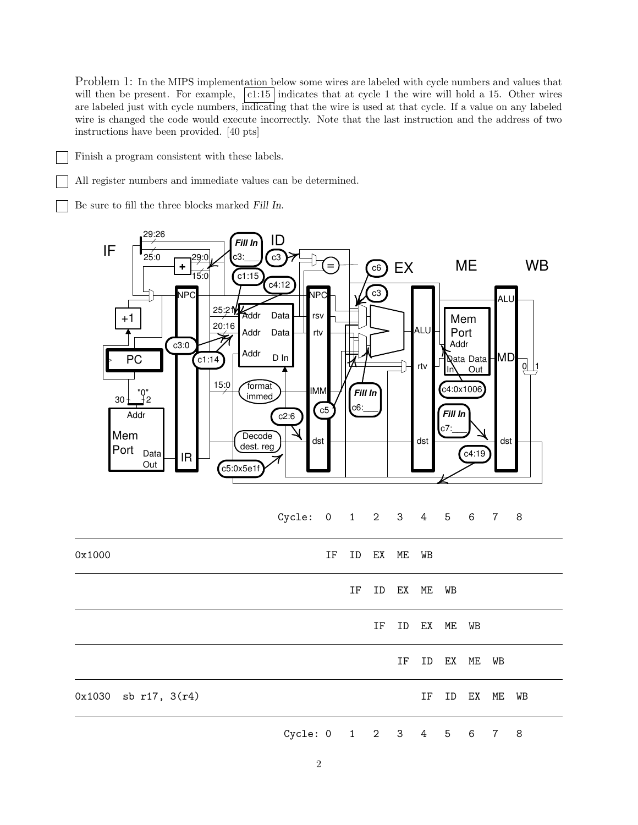Problem 1: In the MIPS implementation below some wires are labeled with cycle numbers and values that will then be present. For example,  $\boxed{c1:15}$  indicates that at cycle 1 the wire will hold a 15. Other wires are labeled just with cycle numbers, indicating that the wire is used at that cycle. If a value on any labeled wire is changed the code would execute incorrectly. Note that the last instruction and the address of two instructions have been provided. [40 pts]

Finish a program consistent with these labels.

All register numbers and immediate values can be determined.

Be sure to fill the three blocks marked Fill In.

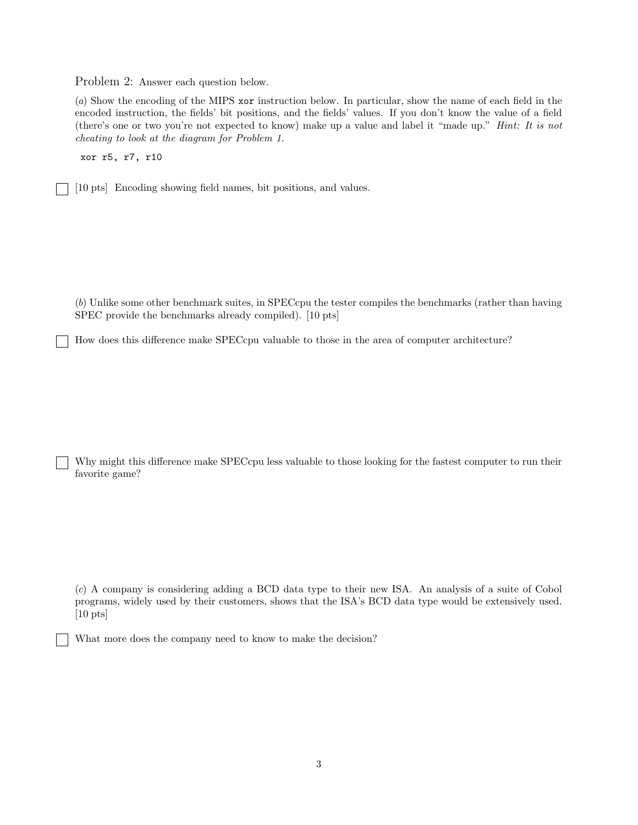Problem 2: Answer each question below.

(a) Show the encoding of the MIPS xor instruction below. In particular, show the name of each field in the encoded instruction, the fields' bit positions, and the fields' values. If you don't know the value of a field (there's one or two you're not expected to know) make up a value and label it "made up." Hint: It is not cheating to look at the diagram for Problem 1.

xor r5, r7, r10

[10 pts] Encoding showing field names, bit positions, and values.

(b) Unlike some other benchmark suites, in SPECcpu the tester compiles the benchmarks (rather than having SPEC provide the benchmarks already compiled). [10 pts]

How does this difference make SPECcpu valuable to those in the area of computer architecture?

Why might this difference make SPECcpu less valuable to those looking for the fastest computer to run their favorite game?

(c) A company is considering adding a BCD data type to their new ISA. An analysis of a suite of Cobol programs, widely used by their customers, shows that the ISA's BCD data type would be extensively used. [10 pts]

What more does the company need to know to make the decision?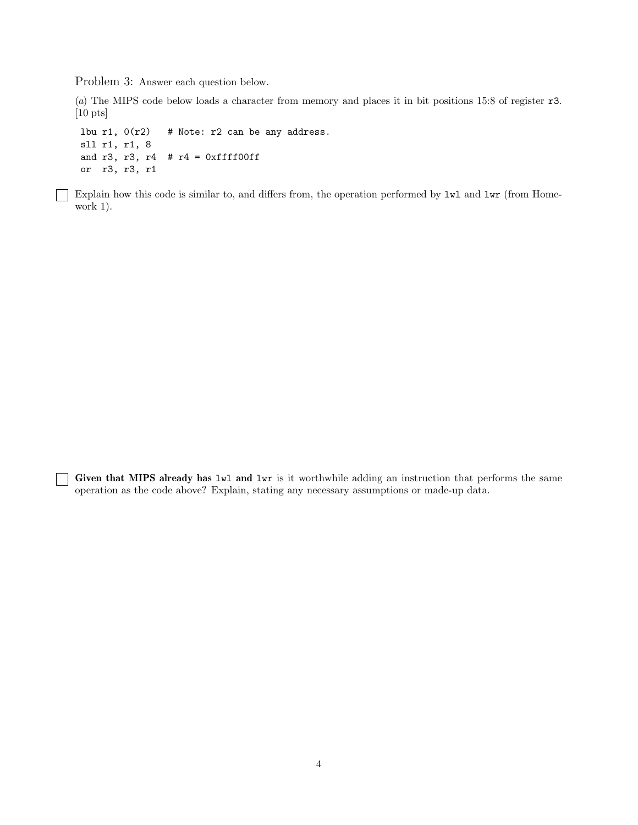Problem 3: Answer each question below.

 $\mathbf{L}$ 

(a) The MIPS code below loads a character from memory and places it in bit positions 15:8 of register r3. [10 pts]

lbu r1,  $0(r2)$  # Note: r2 can be any address. sll r1, r1, 8 and r3, r3, r4  $#$  r4 = 0xffff00ff or r3, r3, r1

Explain how this code is similar to, and differs from, the operation performed by  $1wl$  and  $1wr$  (from Homework 1).

Given that MIPS already has lwl and lwr is it worthwhile adding an instruction that performs the same operation as the code above? Explain, stating any necessary assumptions or made-up data.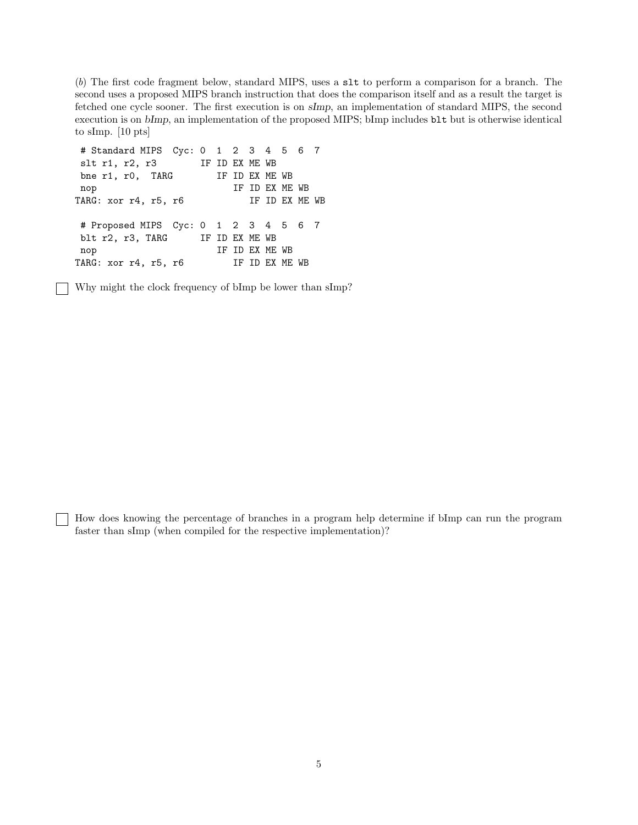(b) The first code fragment below, standard MIPS, uses a slt to perform a comparison for a branch. The second uses a proposed MIPS branch instruction that does the comparison itself and as a result the target is fetched one cycle sooner. The first execution is on sImp, an implementation of standard MIPS, the second execution is on bImp, an implementation of the proposed MIPS; bImp includes blt but is otherwise identical to sImp. [10 pts]

```
# Standard MIPS Cyc: 0 1 2 3 4 5 6 7
slt r1, r2, r3 IF ID EX ME WB
bne r1, r0, TARG IF ID EX ME WB
nop IF ID EX ME WB
TARG: xor r4, r5, r6 IF ID EX ME WB
# Proposed MIPS Cyc: 0 1 2 3 4 5 6 7
blt r2, r3, TARG IF ID EX ME WB
nop IF ID EX ME WB
TARG: xor r4, r5, r6 IF ID EX ME WB
```
Why might the clock frequency of bImp be lower than sImp?

How does knowing the percentage of branches in a program help determine if bImp can run the program faster than sImp (when compiled for the respective implementation)?